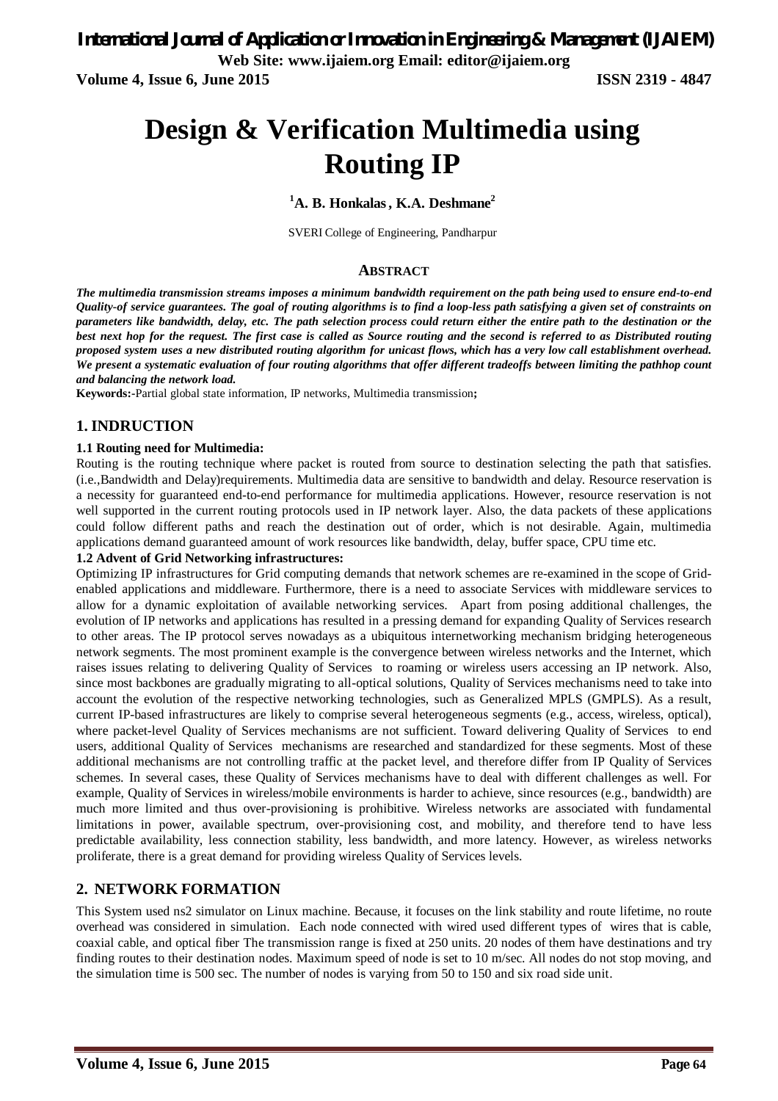*International Journal of Application or Innovation in Engineering & Management (IJAIEM)* **Web Site: www.ijaiem.org Email: editor@ijaiem.org**

**Volume 4, Issue 6, June 2015 ISSN 2319 - 4847**

# **Design & Verification Multimedia using Routing IP**

#### **<sup>1</sup>A. B. Honkalas, K.A. Deshmane<sup>2</sup>**

SVERI College of Engineering, Pandharpur

#### **ABSTRACT**

*The multimedia transmission streams imposes a minimum bandwidth requirement on the path being used to ensure end-to-end Quality-of service guarantees. The goal of routing algorithms is to find a loop-less path satisfying a given set of constraints on parameters like bandwidth, delay, etc. The path selection process could return either the entire path to the destination or the best next hop for the request. The first case is called as Source routing and the second is referred to as Distributed routing proposed system uses a new distributed routing algorithm for unicast flows, which has a very low call establishment overhead. We present a systematic evaluation of four routing algorithms that offer different tradeoffs between limiting the pathhop count and balancing the network load.*

**Keywords:-**Partial global state information, IP networks, Multimedia transmission**;**

## **1. INDRUCTION**

#### **1.1 Routing need for Multimedia:**

Routing is the routing technique where packet is routed from source to destination selecting the path that satisfies. (i.e.,Bandwidth and Delay)requirements. Multimedia data are sensitive to bandwidth and delay. Resource reservation is a necessity for guaranteed end-to-end performance for multimedia applications. However, resource reservation is not well supported in the current routing protocols used in IP network layer. Also, the data packets of these applications could follow different paths and reach the destination out of order, which is not desirable. Again, multimedia applications demand guaranteed amount of work resources like bandwidth, delay, buffer space, CPU time etc.

#### **1.2 Advent of Grid Networking infrastructures:**

Optimizing IP infrastructures for Grid computing demands that network schemes are re-examined in the scope of Gridenabled applications and middleware. Furthermore, there is a need to associate Services with middleware services to allow for a dynamic exploitation of available networking services. Apart from posing additional challenges, the evolution of IP networks and applications has resulted in a pressing demand for expanding Quality of Services research to other areas. The IP protocol serves nowadays as a ubiquitous internetworking mechanism bridging heterogeneous network segments. The most prominent example is the convergence between wireless networks and the Internet, which raises issues relating to delivering Quality of Services to roaming or wireless users accessing an IP network. Also, since most backbones are gradually migrating to all-optical solutions, Quality of Services mechanisms need to take into account the evolution of the respective networking technologies, such as Generalized MPLS (GMPLS). As a result, current IP-based infrastructures are likely to comprise several heterogeneous segments (e.g., access, wireless, optical), where packet-level Quality of Services mechanisms are not sufficient. Toward delivering Quality of Services to end users, additional Quality of Services mechanisms are researched and standardized for these segments. Most of these additional mechanisms are not controlling traffic at the packet level, and therefore differ from IP Quality of Services schemes. In several cases, these Quality of Services mechanisms have to deal with different challenges as well. For example, Quality of Services in wireless/mobile environments is harder to achieve, since resources (e.g., bandwidth) are much more limited and thus over-provisioning is prohibitive. Wireless networks are associated with fundamental limitations in power, available spectrum, over-provisioning cost, and mobility, and therefore tend to have less predictable availability, less connection stability, less bandwidth, and more latency. However, as wireless networks proliferate, there is a great demand for providing wireless Quality of Services levels.

## **2. NETWORK FORMATION**

This System used ns2 simulator on Linux machine. Because, it focuses on the link stability and route lifetime, no route overhead was considered in simulation. Each node connected with wired used different types of wires that is cable, coaxial cable, and optical fiber The transmission range is fixed at 250 units. 20 nodes of them have destinations and try finding routes to their destination nodes. Maximum speed of node is set to 10 m/sec. All nodes do not stop moving, and the simulation time is 500 sec. The number of nodes is varying from 50 to 150 and six road side unit.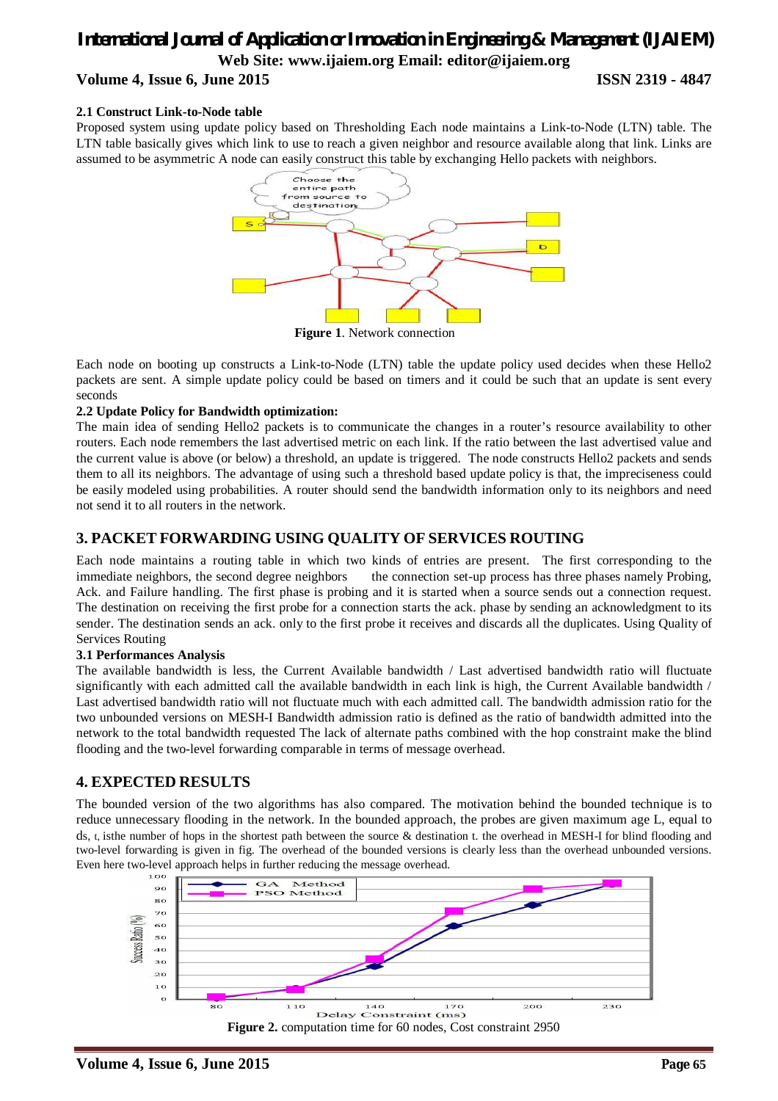# *International Journal of Application or Innovation in Engineering & Management (IJAIEM)* **Web Site: www.ijaiem.org Email: editor@ijaiem.org Volume 4, Issue 6, June 2015 ISSN 2319 - 4847**

#### **2.1 Construct Link-to-Node table**

Proposed system using update policy based on Thresholding Each node maintains a Link-to-Node (LTN) table. The LTN table basically gives which link to use to reach a given neighbor and resource available along that link. Links are assumed to be asymmetric A node can easily construct this table by exchanging Hello packets with neighbors.



**Figure 1**. Network connection

Each node on booting up constructs a Link-to-Node (LTN) table the update policy used decides when these Hello2 packets are sent. A simple update policy could be based on timers and it could be such that an update is sent every seconds

#### **2.2 Update Policy for Bandwidth optimization:**

The main idea of sending Hello2 packets is to communicate the changes in a router's resource availability to other routers. Each node remembers the last advertised metric on each link. If the ratio between the last advertised value and the current value is above (or below) a threshold, an update is triggered. The node constructs Hello2 packets and sends them to all its neighbors. The advantage of using such a threshold based update policy is that, the impreciseness could be easily modeled using probabilities. A router should send the bandwidth information only to its neighbors and need not send it to all routers in the network.

# **3. PACKET FORWARDING USING QUALITY OF SERVICES ROUTING**

Each node maintains a routing table in which two kinds of entries are present. The first corresponding to the immediate neighbors, the second degree neighbors the connection set-up process has three phases namely Probing, Ack. and Failure handling. The first phase is probing and it is started when a source sends out a connection request. The destination on receiving the first probe for a connection starts the ack. phase by sending an acknowledgment to its sender. The destination sends an ack. only to the first probe it receives and discards all the duplicates. Using Quality of Services Routing

#### **3.1 Performances Analysis**

The available bandwidth is less, the Current Available bandwidth / Last advertised bandwidth ratio will fluctuate significantly with each admitted call the available bandwidth in each link is high, the Current Available bandwidth / Last advertised bandwidth ratio will not fluctuate much with each admitted call. The bandwidth admission ratio for the two unbounded versions on MESH-I Bandwidth admission ratio is defined as the ratio of bandwidth admitted into the network to the total bandwidth requested The lack of alternate paths combined with the hop constraint make the blind flooding and the two-level forwarding comparable in terms of message overhead.

## **4. EXPECTED RESULTS**

The bounded version of the two algorithms has also compared. The motivation behind the bounded technique is to reduce unnecessary flooding in the network. In the bounded approach, the probes are given maximum age L, equal to ds, t, isthe number of hops in the shortest path between the source & destination t. the overhead in MESH-I for blind flooding and two-level forwarding is given in fig. The overhead of the bounded versions is clearly less than the overhead unbounded versions. Even here two-level approach helps in further reducing the message overhead.

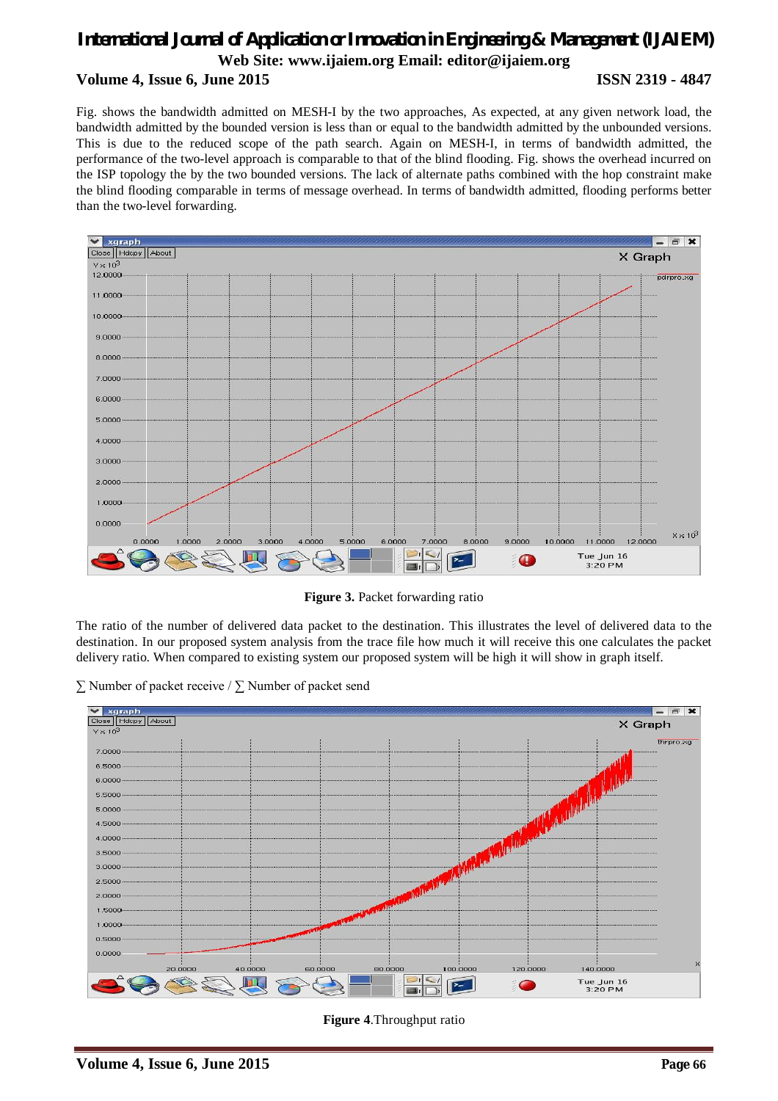# *International Journal of Application or Innovation in Engineering & Management (IJAIEM)* **Web Site: www.ijaiem.org Email: editor@ijaiem.org Volume 4, Issue 6, June 2015 ISSN 2319 - 4847**

Fig. shows the bandwidth admitted on MESH-I by the two approaches, As expected, at any given network load, the bandwidth admitted by the bounded version is less than or equal to the bandwidth admitted by the unbounded versions. This is due to the reduced scope of the path search. Again on MESH-I, in terms of bandwidth admitted, the performance of the two-level approach is comparable to that of the blind flooding. Fig. shows the overhead incurred on the ISP topology the by the two bounded versions. The lack of alternate paths combined with the hop constraint make the blind flooding comparable in terms of message overhead. In terms of bandwidth admitted, flooding performs better than the two-level forwarding.



**Figure 3.** Packet forwarding ratio

The ratio of the number of delivered data packet to the destination. This illustrates the level of delivered data to the destination. In our proposed system analysis from the trace file how much it will receive this one calculates the packet delivery ratio. When compared to existing system our proposed system will be high it will show in graph itself.

∑ Number of packet receive / ∑ Number of packet send



**Figure 4**.Throughput ratio